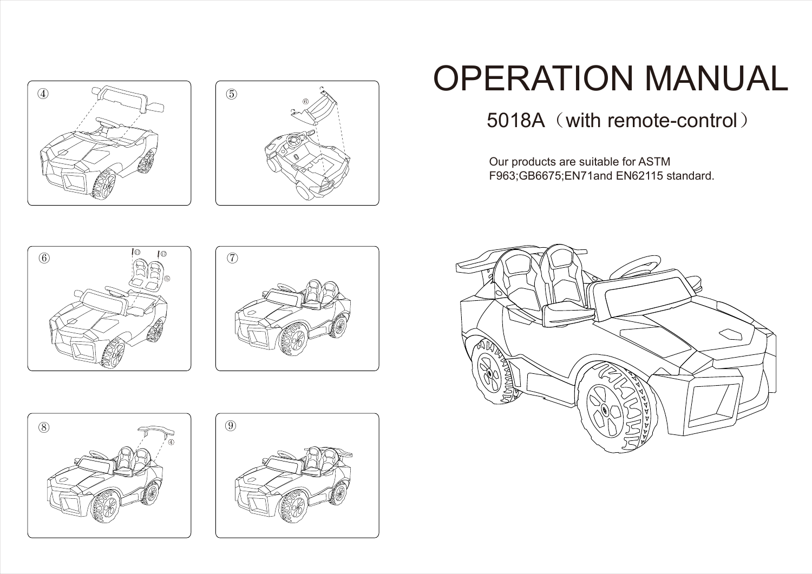



# OPERATION MANUAL

5018A (with remote-control)

Our products are suitable for ASTM F963;GB6675;EN71and EN62115 standard.









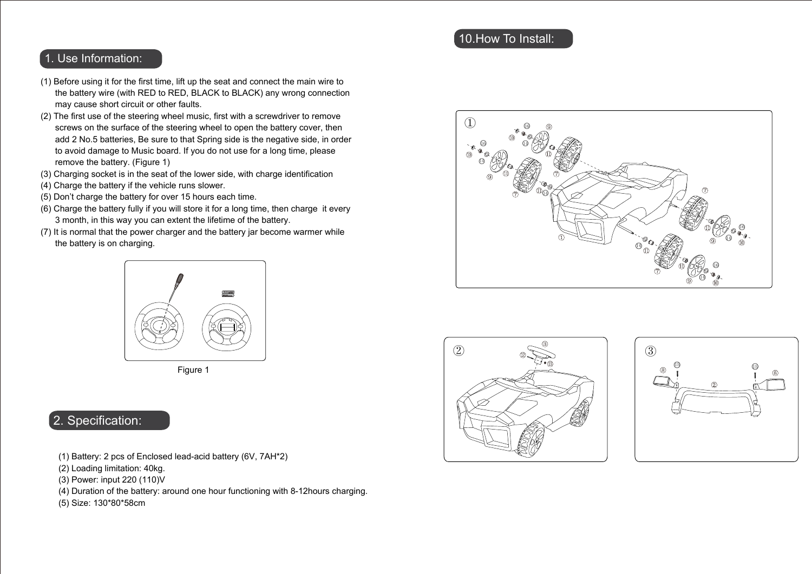### 1. Use Information:

- (1) Before using it for the first time, lift up the seat and connect the main wire to the battery wire (with RED to RED, BLACK to BLACK) any wrong connection may cause short circuit or other faults.
- (2) The first use of the steering wheel music, first with a screwdriver to remove screws on the surface of the steering wheel to open the battery cover, then add 2 No.5 batteries, Be sure to that Spring side is the negative side, in order to avoid damage to Music board. If you do not use for a long time, please remove the battery. (Figure 1)
- (3) Charging socket is in the seat of the lower side, with charge identification
- (4) Charge the battery if the vehicle runs slower.
- (5) Don't charge the battery for over 15 hours each time.
- (6) Charge the battery fully if you will store it for a long time, then charge it every 3 month, in this way you can extent the lifetime of the battery.
- (7) It is normal that the power charger and the battery jar become warmer while the battery is on charging.



Figure 1

# 2. Specification:

- (1) Battery: 2 pcs of Enclosed lead-acid battery (6V, 7AH\*2)
- (2) Loading limitation: 40kg.
- (3) Power: input 220 (110)V
- (4) Duration of the battery: around one hour functioning with 8-12hours charging.

(5) Size: 130\*80\*58cm

## 10.How To Install:





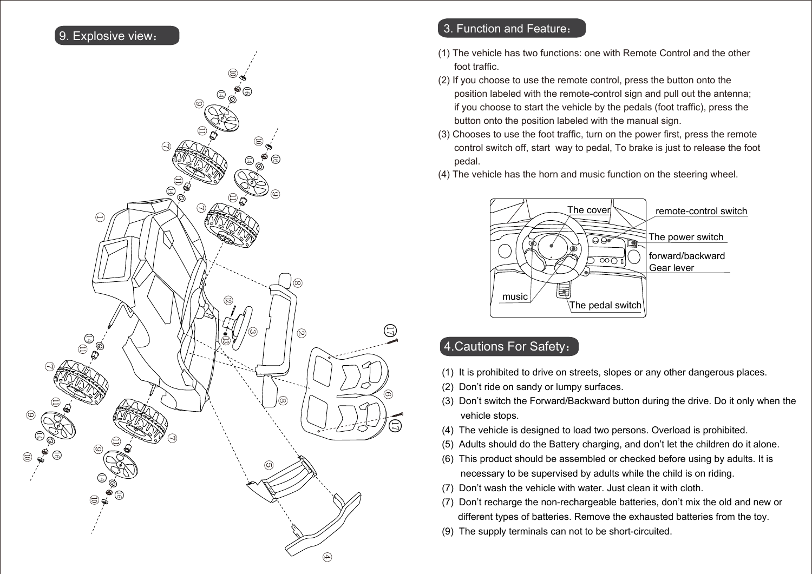## 9. Explosive view:



### 3. Function and Feature:

- (1) The vehicle has two functions: one with Remote Control and the other foot traffic.
- (2) If you choose to use the remote control, press the button onto the position labeled with the remote-control sign and pull out the antenna; if you choose to start the vehicle by the pedals (foot traffic), press the button onto the position labeled with the manual sign.
- (3) Chooses to use the foot traffic, turn on the power first, press the remote control switch off, start way to pedal, To brake is just to release the foot pedal.
- (4) The vehicle has the horn and music function on the steering wheel.



# 4.Cautions For Safety:

○<sup>17</sup>

- (1) It is prohibited to drive on streets, slopes or any other dangerous places.
- (2) Don't ride on sandy or lumpy surfaces.
- (3) Don't switch the Forward/Backward button during the drive. Do it only when the vehicle stops.
- (4) The vehicle is designed to load two persons. Overload is prohibited.
- (5) Adults should do the Battery charging, and don't let the children do it alone.
- (6) This product should be assembled or checked before using by adults. It is necessary to be supervised by adults while the child is on riding.
- (7) Don't wash the vehicle with water. Just clean it with cloth.
- (7) Don't recharge the non-rechargeable batteries, don't mix the old and new or different types of batteries. Remove the exhausted batteries from the toy.
- (9) The supply terminals can not to be short-circuited.